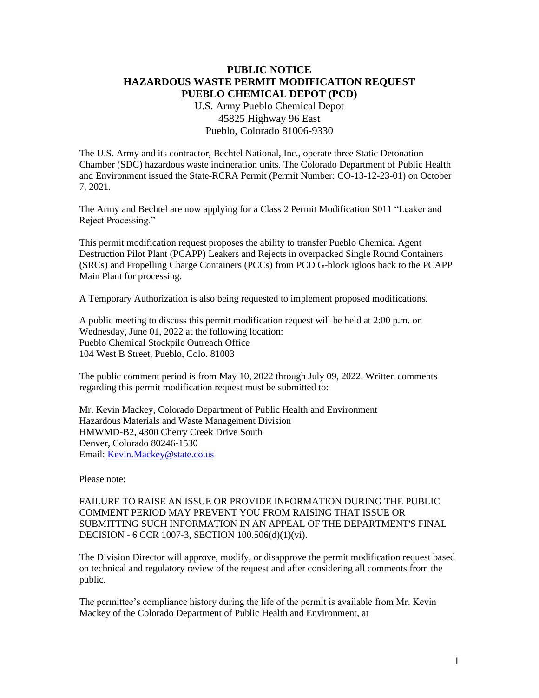## **PUBLIC NOTICE HAZARDOUS WASTE PERMIT MODIFICATION REQUEST PUEBLO CHEMICAL DEPOT (PCD)**

U.S. Army Pueblo Chemical Depot 45825 Highway 96 East Pueblo, Colorado 81006-9330

The U.S. Army and its contractor, Bechtel National, Inc., operate three Static Detonation Chamber (SDC) hazardous waste incineration units. The Colorado Department of Public Health and Environment issued the State-RCRA Permit (Permit Number: CO-13-12-23-01) on October 7, 2021.

The Army and Bechtel are now applying for a Class 2 Permit Modification S011 "Leaker and Reject Processing."

This permit modification request proposes the ability to transfer Pueblo Chemical Agent Destruction Pilot Plant (PCAPP) Leakers and Rejects in overpacked Single Round Containers (SRCs) and Propelling Charge Containers (PCCs) from PCD G-block igloos back to the PCAPP Main Plant for processing.

A Temporary Authorization is also being requested to implement proposed modifications.

A public meeting to discuss this permit modification request will be held at 2:00 p.m. on Wednesday, June 01, 2022 at the following location: Pueblo Chemical Stockpile Outreach Office 104 West B Street, Pueblo, Colo. 81003

The public comment period is from May 10, 2022 through July 09, 2022. Written comments regarding this permit modification request must be submitted to:

Mr. Kevin Mackey, Colorado Department of Public Health and Environment Hazardous Materials and Waste Management Division HMWMD-B2, 4300 Cherry Creek Drive South Denver, Colorado 80246-1530 Email: [Kevin.Mackey@state.co.us](mailto:Kevin.Mackey@state.co.us)

Please note:

FAILURE TO RAISE AN ISSUE OR PROVIDE INFORMATION DURING THE PUBLIC COMMENT PERIOD MAY PREVENT YOU FROM RAISING THAT ISSUE OR SUBMITTING SUCH INFORMATION IN AN APPEAL OF THE DEPARTMENT'S FINAL DECISION - 6 CCR 1007-3, SECTION 100.506(d)(1)(vi).

The Division Director will approve, modify, or disapprove the permit modification request based on technical and regulatory review of the request and after considering all comments from the public.

The permittee's compliance history during the life of the permit is available from Mr. Kevin Mackey of the Colorado Department of Public Health and Environment, at